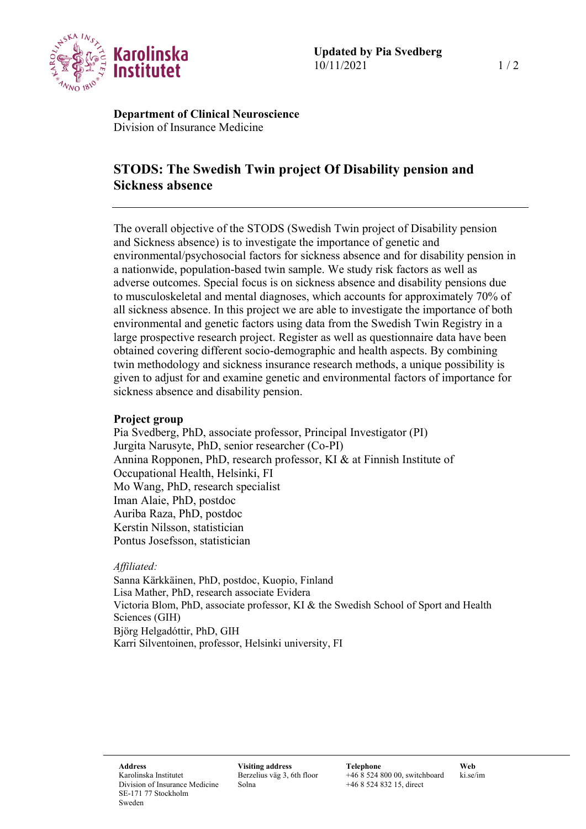

**Department of Clinical Neuroscience** Division of Insurance Medicine

# **STODS: The Swedish Twin project Of Disability pension and Sickness absence**

The overall objective of the STODS (Swedish Twin project of Disability pension and Sickness absence) is to investigate the importance of genetic and environmental/psychosocial factors for sickness absence and for disability pension in a nationwide, population-based twin sample. We study risk factors as well as adverse outcomes. Special focus is on sickness absence and disability pensions due to musculoskeletal and mental diagnoses, which accounts for approximately 70% of all sickness absence. In this project we are able to investigate the importance of both environmental and genetic factors using data from the Swedish Twin Registry in a large prospective research project. Register as well as questionnaire data have been obtained covering different socio-demographic and health aspects. By combining twin methodology and sickness insurance research methods, a unique possibility is given to adjust for and examine genetic and environmental factors of importance for sickness absence and disability pension.

### **Project group**

Pia Svedberg, PhD, associate professor, Principal Investigator (PI) Jurgita Narusyte, PhD, senior researcher (Co-PI) Annina Ropponen, PhD, research professor, KI & at Finnish Institute of Occupational Health, Helsinki, FI Mo Wang, PhD, research specialist Iman Alaie, PhD, postdoc Auriba Raza, PhD, postdoc Kerstin Nilsson, statistician Pontus Josefsson, statistician

### *Affiliated:*

Sanna Kärkkäinen, PhD, postdoc, Kuopio, Finland Lisa Mather, PhD, research associate Evidera Victoria Blom, PhD, associate professor, KI & the Swedish School of Sport and Health Sciences (GIH) Björg Helgadóttir, PhD, GIH Karri Silventoinen, professor, Helsinki university, FI